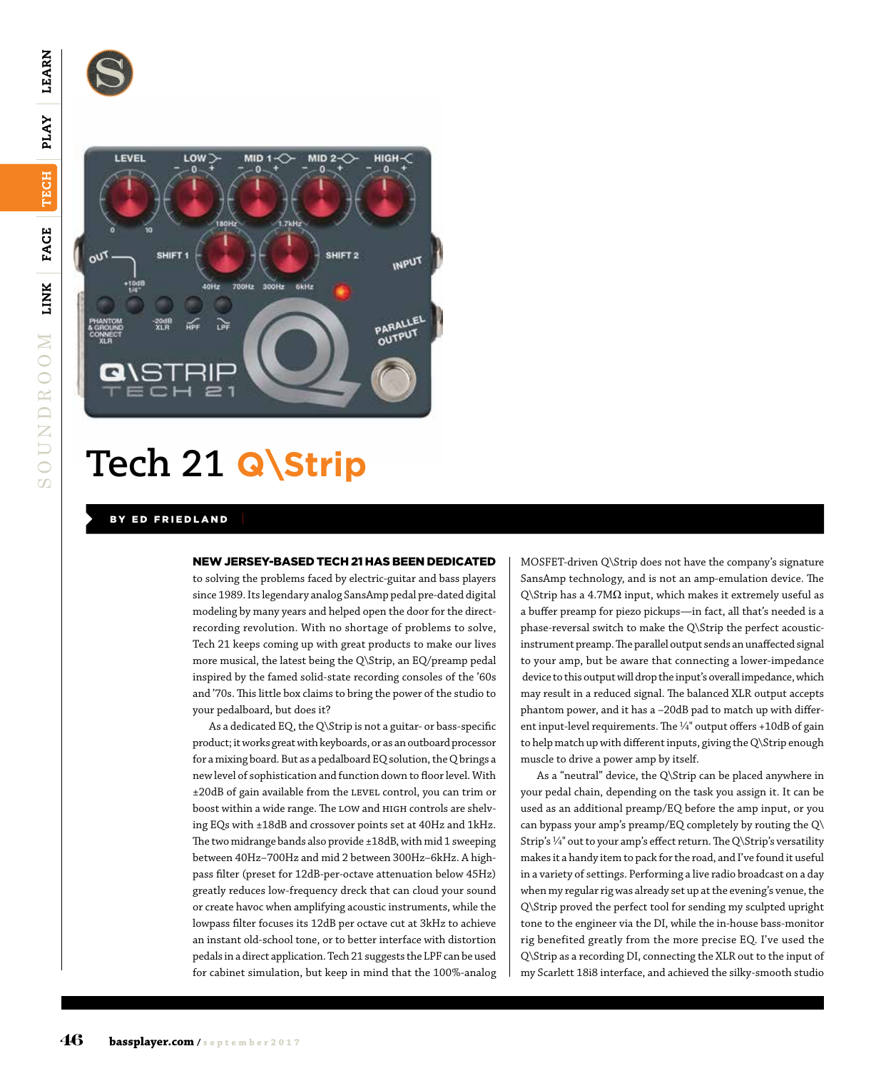S



## **Tech 21 Q\Strip**

## BY ED FRIEDLAND

## NEW JERSEY-BASED TECH 21 HAS BEEN DEDICATED

to solving the problems faced by electric-guitar and bass players since 1989. Its legendary analog SansAmp pedal pre-dated digital modeling by many years and helped open the door for the directrecording revolution. With no shortage of problems to solve, Tech 21 keeps coming up with great products to make our lives more musical, the latest being the Q\Strip, an EQ/preamp pedal inspired by the famed solid-state recording consoles of the '60s and '70s. This little box claims to bring the power of the studio to your pedalboard, but does it?

As a dedicated EQ, the Q\Strip is not a guitar- or bass-specific product; it works great with keyboards, or as an outboard processor for a mixing board. But as a pedalboard EQ solution, the Q brings a new level of sophistication and function down to floor level. With ±20dB of gain available from the level control, you can trim or boost within a wide range. The LOW and HIGH controls are shelving EQs with ±18dB and crossover points set at 40Hz and 1kHz. The two midrange bands also provide ±18dB, with mid 1 sweeping between 40Hz–700Hz and mid 2 between 300Hz–6kHz. A highpass filter (preset for 12dB-per-octave attenuation below 45Hz) greatly reduces low-frequency dreck that can cloud your sound or create havoc when amplifying acoustic instruments, while the lowpass filter focuses its 12dB per octave cut at 3kHz to achieve an instant old-school tone, or to better interface with distortion pedals in a direct application. Tech 21 suggests the LPF can be used for cabinet simulation, but keep in mind that the 100%-analog

MOSFET-driven Q\Strip does not have the company's signature SansAmp technology, and is not an amp-emulation device. The Q\Strip has a 4.7MΩ input, which makes it extremely useful as a buffer preamp for piezo pickups—in fact, all that's needed is a phase-reversal switch to make the Q\Strip the perfect acousticinstrument preamp. The parallel output sends an unaffected signal to your amp, but be aware that connecting a lower-impedance device to this output will drop the input's overall impedance, which may result in a reduced signal. The balanced XLR output accepts phantom power, and it has a –20dB pad to match up with different input-level requirements. The  $\frac{1}{4}$ " output offers +10dB of gain to help match up with different inputs, giving the Q\Strip enough muscle to drive a power amp by itself.

As a "neutral" device, the Q\Strip can be placed anywhere in your pedal chain, depending on the task you assign it. It can be used as an additional preamp/EQ before the amp input, or you can bypass your amp's preamp/EQ completely by routing the Q\ Strip's  $\frac{1}{4}$ " out to your amp's effect return. The Q\Strip's versatility makes it a handy item to pack for the road, and I've found it useful in a variety of settings. Performing a live radio broadcast on a day when my regular rig was already set up at the evening's venue, the Q\Strip proved the perfect tool for sending my sculpted upright tone to the engineer via the DI, while the in-house bass-monitor rig benefited greatly from the more precise EQ. I've used the Q\Strip as a recording DI, connecting the XLR out to the input of my Scarlett 18i8 interface, and achieved the silky-smooth studio